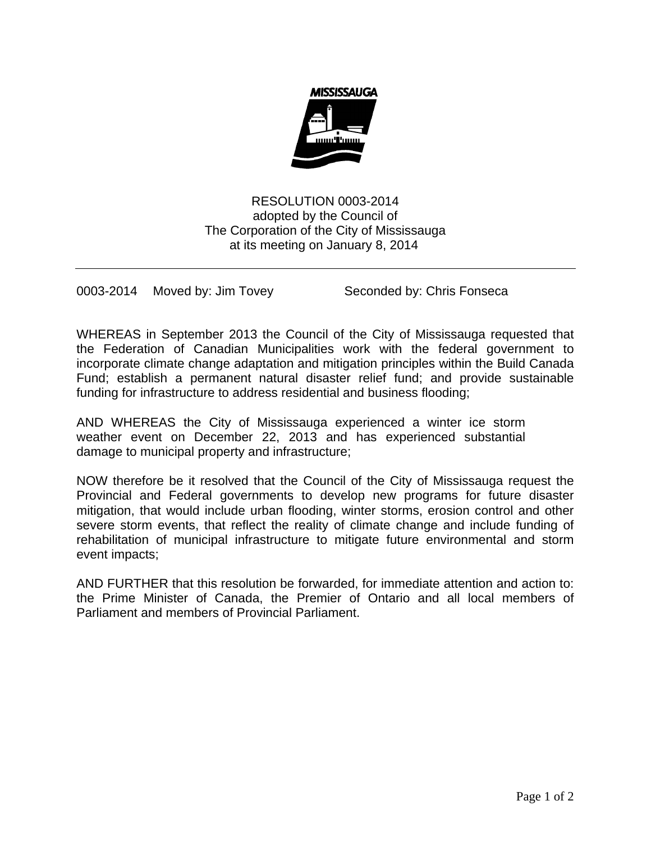

RESOLUTION 0003-2014 adopted by the Council of The Corporation of the City of Mississauga at its meeting on January 8, 2014

0003-2014 Moved by: Jim Tovey Seconded by: Chris Fonseca

WHEREAS in September 2013 the Council of the City of Mississauga requested that the Federation of Canadian Municipalities work with the federal government to incorporate climate change adaptation and mitigation principles within the Build Canada Fund; establish a permanent natural disaster relief fund; and provide sustainable funding for infrastructure to address residential and business flooding;

AND WHEREAS the City of Mississauga experienced a winter ice storm weather event on December 22, 2013 and has experienced substantial damage to municipal property and infrastructure;

NOW therefore be it resolved that the Council of the City of Mississauga request the Provincial and Federal governments to develop new programs for future disaster mitigation, that would include urban flooding, winter storms, erosion control and other severe storm events, that reflect the reality of climate change and include funding of rehabilitation of municipal infrastructure to mitigate future environmental and storm event impacts;

AND FURTHER that this resolution be forwarded, for immediate attention and action to: the Prime Minister of Canada, the Premier of Ontario and all local members of Parliament and members of Provincial Parliament.